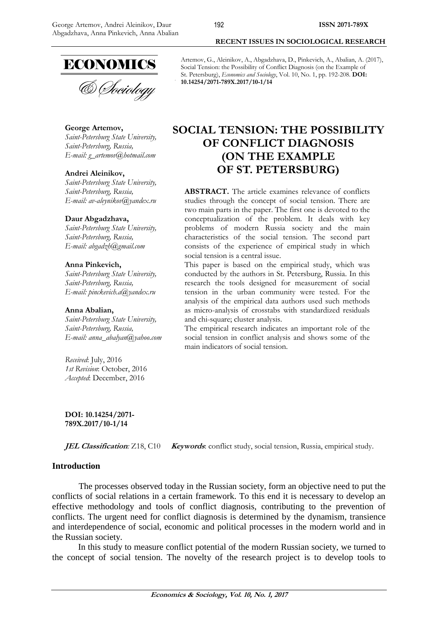

# **George Artemov,**

*Saint-Petersburg State University, Saint-Petersburg, Russia, E-mail: [g\\_artemov@hotmail.com](mailto:g_artemov@hotmail.com)*

#### **Andrei Aleinikov,**

*Saint-Petersburg State University, Saint-Petersburg, Russia, E-mail: av-aleynikov@yandex.ru*

#### **Daur Abgadzhava,**

*Saint-Petersburg State University, Saint-Petersburg, Russia, E-mail: abgadzh@gmail.com*

### **Anna Pinkevich,**

*Saint-Petersburg State University, Saint-Petersburg, Russia, E-mail: pinckevich.a@yandex.ru*

#### **Anna Abalian,**

*Saint-Petersburg State University, Saint-Petersburg, Russia, E-mail: anna\_abalyan@yahoo.com*

*Received*: July, 2016 *1st Revision*: October, 2016 *Accepted*: December, 2016

**DOI: 10.14254/2071- 789X.2017/10-1/14**

**JEL Classification**: Z18, C10 **Keywords**: conflict study, social tension, Russia, empirical study.

### **Introduction**

The processes observed today in the Russian society, form an objective need to put the conflicts of social relations in a certain framework. To this end it is necessary to develop an effective methodology and tools of conflict diagnosis, contributing to the prevention of conflicts. The urgent need for conflict diagnosis is determined by the dynamism, transience and interdependence of social, economic and political processes in the modern world and in the Russian society.

In this study to measure conflict potential of the modern Russian society, we turned to the concept of social tension. The novelty of the research project is to develop tools to

Artemov, G., Aleinikov, A., Abgadzhava, D., Pinkevich, A., Abalian, A. (2017), Social Tension: the Possibility of Conflict Diagnosis (on the Example of St. Petersburg), *Economics and Sociology*, Vol. 10, No. 1, pp. 192-208. **DOI: 10.14254/2071-789X.2017/10-1/14**

**RECENT ISSUES IN SOCIOLOGICAL RESEARCH**

# **SOCIAL TENSION: THE POSSIBILITY OF CONFLICT DIAGNOSIS (ON THE EXAMPLE OF ST. PETERSBURG)**

**ABSTRACT.** The article examines relevance of conflicts studies through the concept of social tension. There are two main parts in the paper. The first one is devoted to the conceptualization of the problem. It deals with key problems of modern Russia society and the main characteristics of the social tension. The second part consists of the experience of empirical study in which social tension is a central issue.

This paper is based on the empirical study, which was conducted by the authors in St. Petersburg, Russia. In this research the tools designed for measurement of social tension in the urban community were tested. For the analysis of the empirical data authors used such methods as micro-analysis of crosstabs with standardized residuals and chi-square; cluster analysis.

The empirical research indicates an important role of the social tension in conflict analysis and shows some of the main indicators of social tension.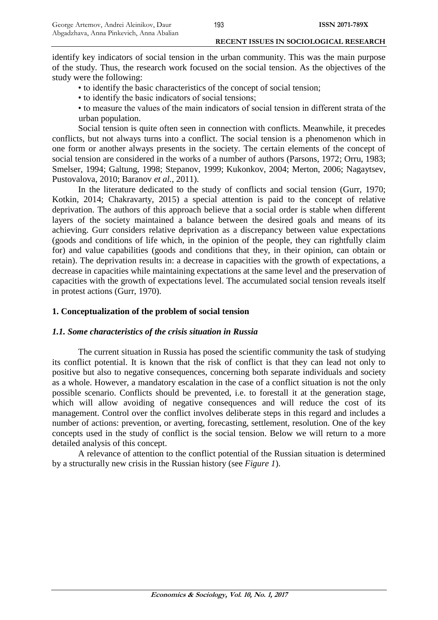identify key indicators of social tension in the urban community. This was the main purpose of the study. Thus, the research work focused on the social tension. As the objectives of the study were the following:

• to identify the basic characteristics of the concept of social tension;

• to identify the basic indicators of social tensions;

• to measure the values of the main indicators of social tension in different strata of the urban population.

Social tension is quite often seen in connection with conflicts. Meanwhile, it precedes conflicts, but not always turns into a conflict. The social tension is a phenomenon which in one form or another always presents in the society. The certain elements of the concept of social tension are considered in the works of a number of authors (Parsons, 1972; Orru, 1983; Smelser, 1994; Galtung, 1998; Stepanov, 1999; Kukonkov, 2004; Merton, 2006; Nagaytsev, Pustovalova, 2010; Baranov *et al.*, 2011).

In the literature dedicated to the study of conflicts and social tension (Gurr, 1970; Kotkin, 2014; Chakravarty, 2015) a special attention is paid to the concept of relative deprivation. The authors of this approach believe that a social order is stable when different layers of the society maintained a balance between the desired goals and means of its achieving. Gurr considers relative deprivation as a discrepancy between value expectations (goods and conditions of life which, in the opinion of the people, they can rightfully claim for) and value capabilities (goods and conditions that they, in their opinion, can obtain or retain). The deprivation results in: a decrease in capacities with the growth of expectations, a decrease in capacities while maintaining expectations at the same level and the preservation of capacities with the growth of expectations level. The accumulated social tension reveals itself in protest actions (Gurr, 1970).

## **1. Conceptualization of the problem of social tension**

### *1.1. Some characteristics of the crisis situation in Russia*

The current situation in Russia has posed the scientific community the task of studying its conflict potential. It is known that the risk of conflict is that they can lead not only to positive but also to negative consequences, concerning both separate individuals and society as a whole. However, a mandatory escalation in the case of a conflict situation is not the only possible scenario. Conflicts should be prevented, i.e. to forestall it at the generation stage, which will allow avoiding of negative consequences and will reduce the cost of its management. Control over the conflict involves deliberate steps in this regard and includes a number of actions: prevention, or averting, forecasting, settlement, resolution. One of the key concepts used in the study of conflict is the social tension. Below we will return to a more detailed analysis of this concept.

A relevance of attention to the conflict potential of the Russian situation is determined by a structurally new crisis in the Russian history (see *Figure 1*).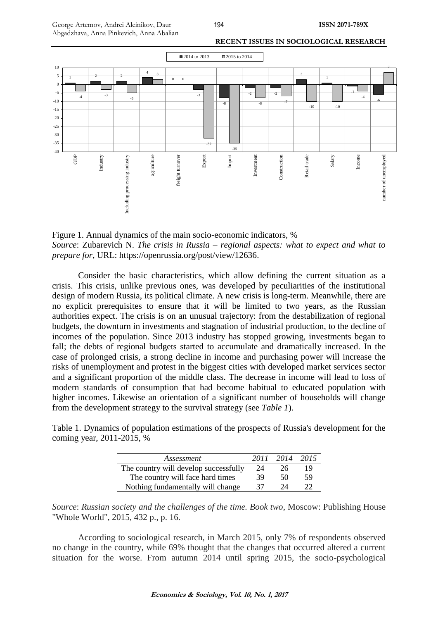

Figure 1. Annual dynamics of the main socio-economic indicators, % *Source*: Zubarevich N. *The crisis in Russia – regional aspects: what to expect and what to prepare for*, URL: [https://openrussia.org/post/view/12636.](https://openrussia.org/post/view/12636)

Consider the basic characteristics, which allow defining the current situation as a crisis. This crisis, unlike previous ones, was developed by peculiarities of the institutional design of modern Russia, its political climate. A new crisis is long-term. Meanwhile, there are no explicit prerequisites to ensure that it will be limited to two years, as the Russian authorities expect. The crisis is on an unusual trajectory: from the destabilization of regional budgets, the downturn in investments and stagnation of industrial production, to the decline of incomes of the population. Since 2013 industry has stopped growing, investments began to fall; the debts of regional budgets started to accumulate and dramatically increased. In the case of prolonged crisis, a strong decline in income and purchasing power will increase the risks of unemployment and protest in the biggest cities with developed market services sector and a significant proportion of the middle class. The decrease in income will lead to loss of modern standards of consumption that had become habitual to educated population with higher incomes. Likewise an orientation of a significant number of households will change from the development strategy to the survival strategy (see *Table 1*).

Table 1. Dynamics of population estimations of the prospects of Russia's development for the coming year, 2011-2015, %

| Assessment                            | 2011 | 2014 | 2015 |
|---------------------------------------|------|------|------|
| The country will develop successfully | 24   | 26   | 19   |
| The country will face hard times      | 39   | 50   | 59   |
| Nothing fundamentally will change     | 37   | 24   | 22   |

*Source*: *Russian society and the challenges of the time. Book two*, Moscow: Publishing House "Whole World", 2015, 432 p., p. 16.

According to sociological research, in March 2015, only 7% of respondents observed no change in the country, while 69% thought that the changes that occurred altered a current situation for the worse. From autumn 2014 until spring 2015, the socio-psychological

194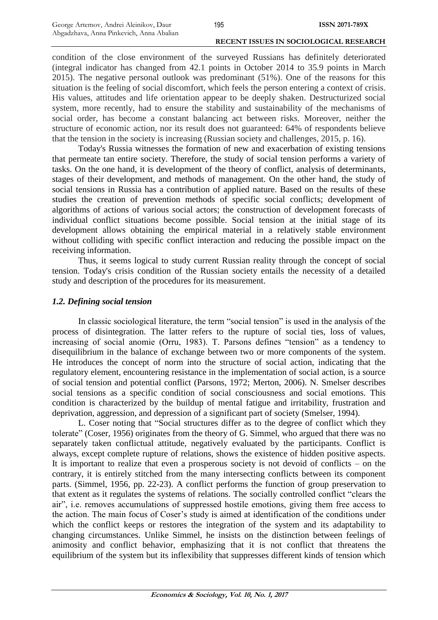condition of the close environment of the surveyed Russians has definitely deteriorated (integral indicator has changed from 42.1 points in October 2014 to 35.9 points in March 2015). The negative personal outlook was predominant (51%). One of the reasons for this situation is the feeling of social discomfort, which feels the person entering a context of crisis. His values, attitudes and life orientation appear to be deeply shaken. Destructurized social system, more recently, had to ensure the stability and sustainability of the mechanisms of social order, has become a constant balancing act between risks. Moreover, neither the structure of economic action, nor its result does not guaranteed: 64% of respondents believe that the tension in the society is increasing (Russian society and challenges, 2015, p. 16).

Today's Russia witnesses the formation of new and exacerbation of existing tensions that permeate tan entire society. Therefore, the study of social tension performs a variety of tasks. On the one hand, it is development of the theory of conflict, analysis of determinants, stages of their development, and methods of management. On the other hand, the study of social tensions in Russia has a contribution of applied nature. Based on the results of these studies the creation of prevention methods of specific social conflicts; development of algorithms of actions of various social actors; the construction of development forecasts of individual conflict situations become possible. Social tension at the initial stage of its development allows obtaining the empirical material in a relatively stable environment without colliding with specific conflict interaction and reducing the possible impact on the receiving information.

Thus, it seems logical to study current Russian reality through the concept of social tension. Today's crisis condition of the Russian society entails the necessity of a detailed study and description of the procedures for its measurement.

### *1.2. Defining social tension*

In classic sociological literature, the term "social tension" is used in the analysis of the process of disintegration. The latter refers to the rupture of social ties, loss of values, increasing of social anomie (Orru, 1983). T. Parsons defines "tension" as a tendency to disequilibrium in the balance of exchange between two or more components of the system. He introduces the concept of norm into the structure of social action, indicating that the regulatory element, encountering resistance in the implementation of social action, is a source of social tension and potential conflict (Parsons, 1972; Merton, 2006). N. Smelser describes social tensions as a specific condition of social consciousness and social emotions. This condition is characterized by the buildup of mental fatigue and irritability, frustration and deprivation, aggression, and depression of a significant part of society (Smelser, 1994).

L. Coser noting that "Social structures differ as to the degree of conflict which they tolerate" (Coser, 1956) originates from the theory of G. Simmel, who argued that there was no separately taken conflictual attitude, negatively evaluated by the participants. Conflict is always, except complete rupture of relations, shows the existence of hidden positive aspects. It is important to realize that even a prosperous society is not devoid of conflicts – on the contrary, it is entirely stitched from the many intersecting conflicts between its component parts. (Simmel, 1956, pp. 22-23). A conflict performs the function of group preservation to that extent as it regulates the systems of relations. The socially controlled conflict "clears the air", i.e. removes accumulations of suppressed hostile emotions, giving them free access to the action. The main focus of Coser's study is aimed at identification of the conditions under which the conflict keeps or restores the integration of the system and its adaptability to changing circumstances. Unlike Simmel, he insists on the distinction between feelings of animosity and conflict behavior, emphasizing that it is not conflict that threatens the equilibrium of the system but its inflexibility that suppresses different kinds of tension which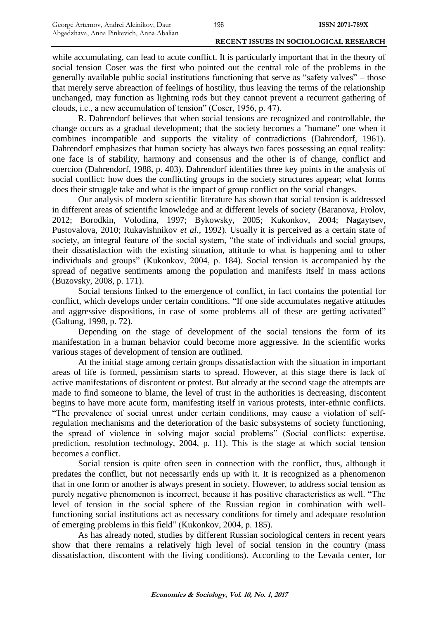while accumulating, can lead to acute conflict. It is particularly important that in the theory of social tension Coser was the first who pointed out the central role of the problems in the generally available public social institutions functioning that serve as "safety valves" – those that merely serve abreaction of feelings of hostility, thus leaving the terms of the relationship unchanged, may function as lightning rods but they cannot prevent a recurrent gathering of clouds, i.e., a new accumulation of tension" (Coser, 1956, p. 47).

R. Dahrendorf believes that when social tensions are recognized and controllable, the change occurs as a gradual development; that the society becomes a "humane" one when it combines incompatible and supports the vitality of contradictions (Dahrendorf, 1961). Dahrendorf emphasizes that human society has always two faces possessing an equal reality: one face is of stability, harmony and consensus and the other is of change, conflict and coercion (Dahrendorf, 1988, p. 403). Dahrendorf identifies three key points in the analysis of social conflict: how does the conflicting groups in the society structures appear; what forms does their struggle take and what is the impact of group conflict on the social changes.

Our analysis of modern scientific literature has shown that social tension is addressed in different areas of scientific knowledge and at different levels of society (Baranova, Frolov, 2012; Borodkin, Volodina, 1997; Bykowsky, 2005; Kukonkov, 2004; Nagaytsev, Pustovalova, 2010; Rukavishnikov *et al.*, 1992). Usually it is perceived as a certain state of society, an integral feature of the social system, "the state of individuals and social groups, their dissatisfaction with the existing situation, attitude to what is happening and to other individuals and groups" (Kukonkov, 2004, p. 184). Social tension is accompanied by the spread of negative sentiments among the population and manifests itself in mass actions (Buzovsky, 2008, p. 171).

Social tensions linked to the emergence of conflict, in fact contains the potential for conflict, which develops under certain conditions. "If one side accumulates negative attitudes and aggressive dispositions, in case of some problems all of these are getting activated" (Galtung, 1998, p. 72).

Depending on the stage of development of the social tensions the form of its manifestation in a human behavior could become more aggressive. In the scientific works various stages of development of tension are outlined.

At the initial stage among certain groups dissatisfaction with the situation in important areas of life is formed, pessimism starts to spread. However, at this stage there is lack of active manifestations of discontent or protest. But already at the second stage the attempts are made to find someone to blame, the level of trust in the authorities is decreasing, discontent begins to have more acute form, manifesting itself in various protests, inter-ethnic conflicts. "The prevalence of social unrest under certain conditions, may cause a violation of selfregulation mechanisms and the deterioration of the basic subsystems of society functioning, the spread of violence in solving major social problems" (Social conflicts: expertise, prediction, resolution technology, 2004, p. 11). This is the stage at which social tension becomes a conflict.

Social tension is quite often seen in connection with the conflict, thus, although it predates the conflict, but not necessarily ends up with it. It is recognized as a phenomenon that in one form or another is always present in society. However, to address social tension as purely negative phenomenon is incorrect, because it has positive characteristics as well. "The level of tension in the social sphere of the Russian region in combination with wellfunctioning social institutions act as necessary conditions for timely and adequate resolution of emerging problems in this field" (Kukonkov, 2004, p. 185).

As has already noted, studies by different Russian sociological centers in recent years show that there remains a relatively high level of social tension in the country (mass dissatisfaction, discontent with the living conditions). According to the Levada center, for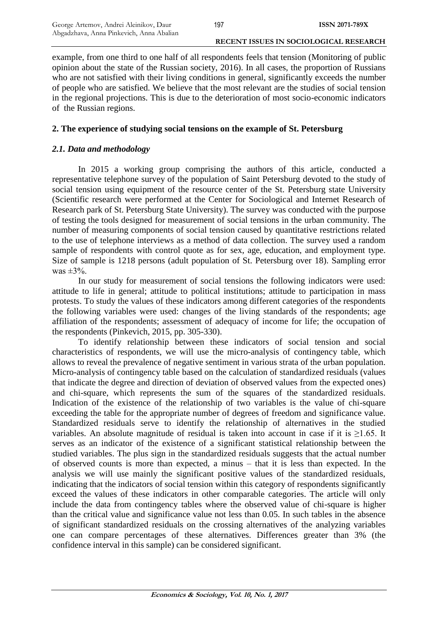example, from one third to one half of all respondents feels that tension (Monitoring of public opinion about the state of the Russian society, 2016). In all cases, the proportion of Russians who are not satisfied with their living conditions in general, significantly exceeds the number of people who are satisfied. We believe that the most relevant are the studies of social tension in the regional projections. This is due to the deterioration of most socio-economic indicators of the Russian regions.

# **2. The experience of studying social tensions on the example of St. Petersburg**

# *2.1. Data and methodology*

In 2015 a working group comprising the authors of this article, conducted a representative telephone survey of the population of Saint Petersburg devoted to the study of social tension using equipment of the resource center of the St. Petersburg state University (Scientific research were performed at the Center for Sociological and Internet Research of Research park of St. Petersburg State University). The survey was conducted with the purpose of testing the tools designed for measurement of social tensions in the urban community. The number of measuring components of social tension caused by quantitative restrictions related to the use of telephone interviews as a method of data collection. The survey used a random sample of respondents with control quote as for sex, age, education, and employment type. Size of sample is 1218 persons (adult population of St. Petersburg over 18). Sampling error was  $\pm$ 3%.

In our study for measurement of social tensions the following indicators were used: attitude to life in general; attitude to political institutions; attitude to participation in mass protests. To study the values of these indicators among different categories of the respondents the following variables were used: changes of the living standards of the respondents; age affiliation of the respondents; assessment of adequacy of income for life; the occupation of the respondents (Pinkevich, 2015, pp. 305-330).

To identify relationship between these indicators of social tension and social characteristics of respondents, we will use the micro-analysis of contingency table, which allows to reveal the prevalence of negative sentiment in various strata of the urban population. Micro-analysis of contingency table based on the calculation of standardized residuals (values that indicate the degree and direction of deviation of observed values from the expected ones) and chi-square, which represents the sum of the squares of the standardized residuals. Indication of the existence of the relationship of two variables is the value of chi-square exceeding the table for the appropriate number of degrees of freedom and significance value. Standardized residuals serve to identify the relationship of alternatives in the studied variables. An absolute magnitude of residual is taken into account in case if it is ≥1.65. It serves as an indicator of the existence of a significant statistical relationship between the studied variables. The plus sign in the standardized residuals suggests that the actual number of observed counts is more than expected, a minus – that it is less than expected. In the analysis we will use mainly the significant positive values of the standardized residuals, indicating that the indicators of social tension within this category of respondents significantly exceed the values of these indicators in other comparable categories. The article will only include the data from contingency tables where the observed value of chi-square is higher than the critical value and significance value not less than 0.05. In such tables in the absence of significant standardized residuals on the crossing alternatives of the analyzing variables one can compare percentages of these alternatives. Differences greater than 3% (the confidence interval in this sample) can be considered significant.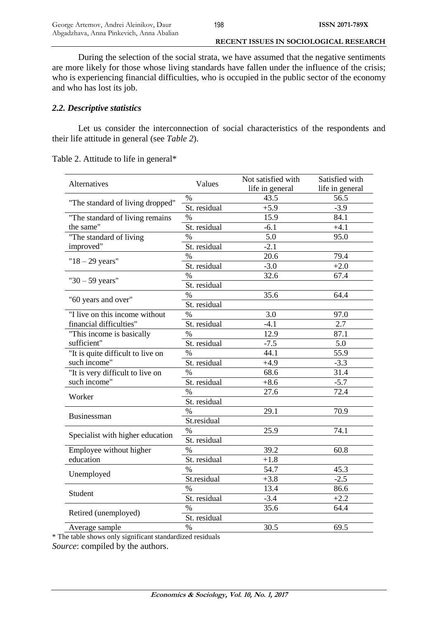During the selection of the social strata, we have assumed that the negative sentiments are more likely for those whose living standards have fallen under the influence of the crisis; who is experiencing financial difficulties, who is occupied in the public sector of the economy and who has lost its job.

### *2.2. Descriptive statistics*

Let us consider the interconnection of social characteristics of the respondents and their life attitude in general (see *Table 2*).

|                                   |              | Not satisfied with | Satisfied with  |
|-----------------------------------|--------------|--------------------|-----------------|
| Alternatives                      | Values       | life in general    | life in general |
|                                   | %            | 43.5               | 56.5            |
| "The standard of living dropped"  | St. residual | $+5.9$             | $-3.9$          |
| "The standard of living remains   | $\%$         | 15.9               | 84.1            |
| the same"                         | St. residual | $-6.1$             | $+4.1$          |
| "The standard of living           | $\%$         | 5.0                | 95.0            |
| improved"                         | St. residual | $-2.1$             |                 |
|                                   | $\%$         | 20.6               | 79.4            |
| " $18 - 29$ years"                | St. residual | $-3.0$             | $+2.0$          |
|                                   | $\%$         | 32.6               | 67.4            |
| " $30 - 59$ years"                | St. residual |                    |                 |
|                                   | $\%$         | 35.6               | 64.4            |
| "60 years and over"               | St. residual |                    |                 |
| "I live on this income without    | $\%$         | 3.0                | 97.0            |
| financial difficulties"           | St. residual | $-4.1$             | 2.7             |
| "This income is basically         | $\%$         | 12.9               | 87.1            |
| sufficient"                       | St. residual | $-7.5$             | 5.0             |
| "It is quite difficult to live on | $\%$         | 44.1               | 55.9            |
| such income"                      | St. residual | $+4.9$             | $-3.3$          |
| "It is very difficult to live on  | $\%$         | 68.6               | 31.4            |
| such income"                      | St. residual | $+8.6$             | $-5.7$          |
| Worker                            | $\%$         | 27.6               | 72.4            |
|                                   | St. residual |                    |                 |
| Businessman                       | $\%$         | 29.1               | 70.9            |
|                                   | St.residual  |                    |                 |
|                                   | $\%$         | 25.9               | 74.1            |
| Specialist with higher education  | St. residual |                    |                 |
| Employee without higher           | $\%$         | 39.2               | 60.8            |
| education                         | St. residual | $+1.8$             |                 |
|                                   | $\%$         | 54.7               | 45.3            |
| Unemployed                        | St.residual  | $+3.8$             | $-2.5$          |
| Student                           | $\%$         | 13.4               | 86.6            |
|                                   | St. residual | $-3.4$             | $+2.2$          |
|                                   | $\%$         | 35.6               | 64.4            |
| Retired (unemployed)              | St. residual |                    |                 |
| Average sample                    | $\%$         | 30.5               | 69.5            |

Table 2. Attitude to life in general\*

\* The table shows only significant standardized residuals *Source*: compiled by the authors.

198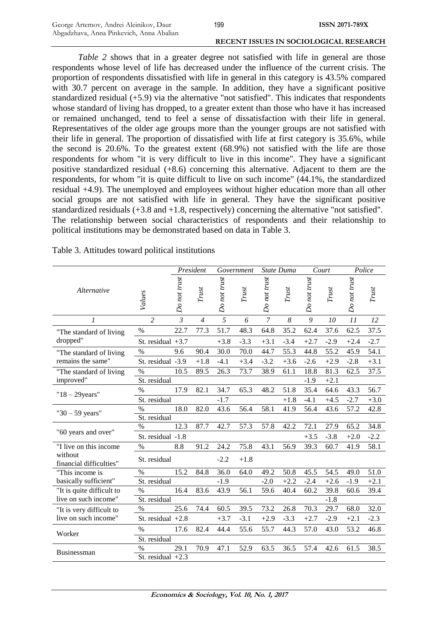*Table 2* shows that in a greater degree not satisfied with life in general are those respondents whose level of life has decreased under the influence of the current crisis. The proportion of respondents dissatisfied with life in general in this category is 43.5% compared with 30.7 percent on average in the sample. In addition, they have a significant positive standardized residual (+5.9) via the alternative "not satisfied". This indicates that respondents whose standard of living has dropped, to a greater extent than those who have it has increased or remained unchanged, tend to feel a sense of dissatisfaction with their life in general. Representatives of the older age groups more than the younger groups are not satisfied with their life in general. The proportion of dissatisfied with life at first category is 35.6%, while the second is 20.6%. To the greatest extent (68.9%) not satisfied with the life are those respondents for whom "it is very difficult to live in this income". They have a significant positive standardized residual (+8.6) concerning this alternative. Adjacent to them are the respondents, for whom "it is quite difficult to live on such income" (44.1%, the standardized residual +4.9). The unemployed and employees without higher education more than all other social groups are not satisfied with life in general. They have the significant positive standardized residuals (+3.8 and +1.8, respectively) concerning the alternative "not satisfied". The relationship between social characteristics of respondents and their relationship to political institutions may be demonstrated based on data in Table 3.

|                                    |                     |                | President      |              | Government |                | State Duma |              | Court  |              | Police |
|------------------------------------|---------------------|----------------|----------------|--------------|------------|----------------|------------|--------------|--------|--------------|--------|
| Alternative                        | Values              | Do not trust   | Trust          | Do not trust | Trust      | Do not trust   | Trust      | Do not trust | Trust  | Do not trust | Trust  |
| $\boldsymbol{l}$                   | $\overline{2}$      | $\overline{3}$ | $\overline{4}$ | 5            | 6          | $\overline{7}$ | 8          | 9            | 10     | 11           | 12     |
| "The standard of living            | $\%$                | 22.7           | 77.3           | 51.7         | 48.3       | 64.8           | 35.2       | 62.4         | 37.6   | 62.5         | 37.5   |
| dropped"                           | St. residual $+3.7$ |                |                | $+3.8$       | $-3.3$     | $+3.1$         | $-3.4$     | $+2.7$       | $-2.9$ | $+2.4$       | $-2.7$ |
| "The standard of living            | $\%$                | 9.6            | 90.4           | 30.0         | 70.0       | 44.7           | 55.3       | 44.8         | 55.2   | 45.9         | 54.1   |
| remains the same"                  | St. residual -3.9   |                | $+1.8$         | $-4.1$       | $+3.4$     | $-3.2$         | $+3.6$     | $-2.6$       | $+2.9$ | $-2.8$       | $+3.1$ |
| "The standard of living            | $\%$                | 10.5           | 89.5           | 26.3         | 73.7       | 38.9           | 61.1       | 18.8         | 81.3   | 62.5         | 37.5   |
| improved"                          | St. residual        |                |                |              |            |                |            | $-1.9$       | $+2.1$ |              |        |
| $"18-29$ years"                    | %                   | 17.9           | 82.1           | 34.7         | 65.3       | 48.2           | 51.8       | 35.4         | 64.6   | 43.3         | 56.7   |
|                                    | St. residual        |                |                | $-1.7$       |            |                | $+1.8$     | $-4.1$       | $+4.5$ | $-2.7$       | $+3.0$ |
| " $30 - 59$ years"                 | $\%$                | 18.0           | 82.0           | 43.6         | 56.4       | 58.1           | 41.9       | 56.4         | 43.6   | 57.2         | 42.8   |
|                                    | St. residual        |                |                |              |            |                |            |              |        |              |        |
| "60 years and over"                | $\%$                | 12.3           | 87.7           | 42.7         | 57.3       | 57.8           | 42.2       | 72.1         | 27.9   | 65.2         | 34.8   |
|                                    | St. residual -1.8   |                |                |              |            |                |            | $+3.5$       | $-3.8$ | $+2.0$       | $-2.2$ |
| "I live on this income             | $\%$                | 8.8            | 91.2           | 24.2         | 75.8       | 43.1           | 56.9       | 39.3         | 60.7   | 41.9         | 58.1   |
| without<br>financial difficulties" | St. residual        |                |                | $-2.2$       | $+1.8$     |                |            |              |        |              |        |
| "This income is                    | $\%$                | 15.2           | 84.8           | 36.0         | 64.0       | 49.2           | 50.8       | 45.5         | 54.5   | 49.0         | 51.0   |
| basically sufficient"              | St. residual        |                |                | $-1.9$       |            | $-2.0$         | $+2.2$     | $-2.4$       | $+2.6$ | $-1.9$       | $+2.1$ |
| "It is quite difficult to          | $\%$                | 16.4           | 83.6           | 43.9         | 56.1       | 59.6           | 40.4       | 60.2         | 39.8   | 60.6         | 39.4   |
| live on such income"               | St. residual        |                |                |              |            |                |            |              | $-1.8$ |              |        |
| "It is very difficult to           | $\%$                | 25.6           | 74.4           | 60.5         | 39.5       | 73.2           | 26.8       | 70.3         | 29.7   | 68.0         | 32.0   |
| live on such income"               | St. residual $+2.8$ |                |                | $+3.7$       | $-3.1$     | $+2.9$         | $-3.3$     | $+2.7$       | $-2.9$ | $+2.1$       | $-2.3$ |
| Worker                             | $\frac{0}{0}$       | 17.6           | 82.4           | 44.4         | 55.6       | 55.7           | 44.3       | 57.0         | 43.0   | 53.2         | 46.8   |
|                                    | St. residual        |                |                |              |            |                |            |              |        |              |        |
| Businessman                        | $\%$                | 29.1           | 70.9           | 47.1         | 52.9       | 63.5           | 36.5       | 57.4         | 42.6   | 61.5         | 38.5   |
|                                    | St. residual $+2.3$ |                |                |              |            |                |            |              |        |              |        |

Table 3. Attitudes toward political institutions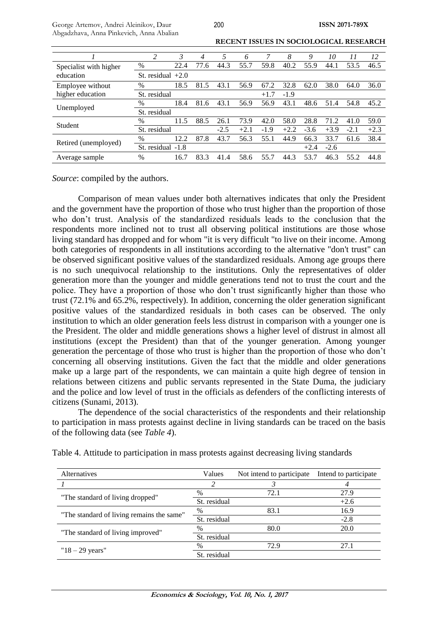|                        | 2            | 3                   | 4    | 5      | 6      |        | 8      | 9      | 10     | 11     | 12     |
|------------------------|--------------|---------------------|------|--------|--------|--------|--------|--------|--------|--------|--------|
| Specialist with higher | %            | 22.4                | 77.6 | 44.3   | 55.7   | 59.8   | 40.2   | 55.9   | 44.1   | 53.5   | 46.5   |
| education              |              | St. residual $+2.0$ |      |        |        |        |        |        |        |        |        |
| Employee without       | $\%$         | 18.5                | 81.5 | 43.1   | 56.9   | 67.2   | 32.8   | 62.0   | 38.0   | 64.0   | 36.0   |
| higher education       | St. residual |                     |      |        |        | $+1.7$ | $-1.9$ |        |        |        |        |
|                        | $\%$         | 18.4                | 81.6 | 43.1   | 56.9   | 56.9   | 43.1   | 48.6   | 51.4   | 54.8   | 45.2   |
| Unemployed             |              | St. residual        |      |        |        |        |        |        |        |        |        |
| Student                | %            | 11.5                | 88.5 | 26.1   | 73.9   | 42.0   | 58.0   | 28.8   | 71.2   | 41.0   | 59.0   |
|                        | St. residual |                     |      | $-2.5$ | $+2.1$ | $-1.9$ | $+2.2$ | $-3.6$ | $+3.9$ | $-2.1$ | $+2.3$ |
|                        | $\%$         | 12.2                | 87.8 | 43.7   | 56.3   | 55.1   | 44.9   | 66.3   | 33.7   | 61.6   | 38.4   |
| Retired (unemployed)   | St. residual | $-1.8$              |      |        |        |        |        | $+2.4$ | $-2.6$ |        |        |
| Average sample         | $\%$         | 16.7                | 83.3 | 41.4   | 58.6   | 55.7   | 44.3   | 53.7   | 46.3   | 55.2   | 44.8   |

200

**RECENT ISSUES IN SOCIOLOGICAL RESEARCH**

*Source*: compiled by the authors.

Comparison of mean values under both alternatives indicates that only the President and the government have the proportion of those who trust higher than the proportion of those who don't trust. Analysis of the standardized residuals leads to the conclusion that the respondents more inclined not to trust all observing political institutions are those whose living standard has dropped and for whom "it is very difficult "to live on their income. Among both categories of respondents in all institutions according to the alternative "don't trust" can be observed significant positive values of the standardized residuals. Among age groups there is no such unequivocal relationship to the institutions. Only the representatives of older generation more than the younger and middle generations tend not to trust the court and the police. They have a proportion of those who don't trust significantly higher than those who trust (72.1% and 65.2%, respectively). In addition, concerning the older generation significant positive values of the standardized residuals in both cases can be observed. The only institution to which an older generation feels less distrust in comparison with a younger one is the President. The older and middle generations shows a higher level of distrust in almost all institutions (except the President) than that of the younger generation. Among younger generation the percentage of those who trust is higher than the proportion of those who don't concerning all observing institutions. Given the fact that the middle and older generations make up a large part of the respondents, we can maintain a quite high degree of tension in relations between citizens and public servants represented in the State Duma, the judiciary and the police and low level of trust in the officials as defenders of the conflicting interests of citizens (Sunami, 2013).

The dependence of the social characteristics of the respondents and their relationship to participation in mass protests against decline in living standards can be traced on the basis of the following data (see *Table 4*).

| Alternatives                              | Values       | Not intend to participate | Intend to participate |
|-------------------------------------------|--------------|---------------------------|-----------------------|
|                                           | 2            |                           |                       |
|                                           | $\%$         | 72.1                      | 27.9                  |
| "The standard of living dropped"          | St. residual |                           | $+2.6$                |
| "The standard of living remains the same" | %            | 83.1                      | 16.9                  |
|                                           | St. residual |                           | $-2.8$                |
| "The standard of living improved"         | $\%$         | 80.0                      | <b>20.0</b>           |
|                                           | St. residual |                           |                       |
|                                           | $\%$         | 72.9                      | 27.1                  |
| " $18 - 29$ years"                        | St. residual |                           |                       |

Table 4. Attitude to participation in mass protests against decreasing living standards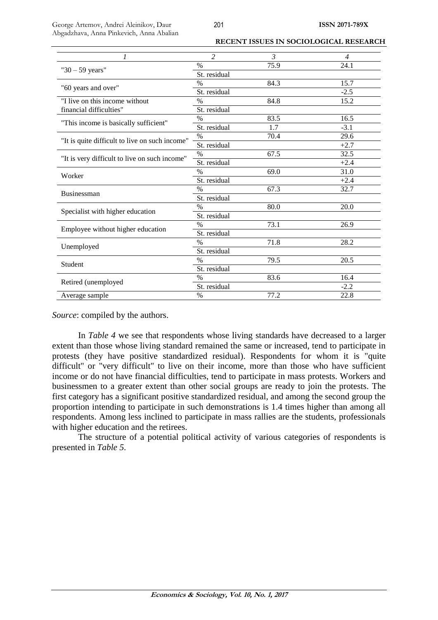George Artemov, Andrei Aleinikov, Daur Abgadzhava, Anna Pinkevich, Anna Abalian

**RECENT ISSUES IN SOCIOLOGICAL RESEARCH**

| 1                                              | $\overline{\mathcal{L}}$ | 3    | $\overline{\mathcal{A}}$ |
|------------------------------------------------|--------------------------|------|--------------------------|
|                                                | $\%$                     | 75.9 | 24.1                     |
| " $30 - 59$ years"                             | St. residual             |      |                          |
|                                                | $\%$                     | 84.3 | 15.7                     |
| "60 years and over"                            | St. residual             |      | $-2.5$                   |
| "I live on this income without                 | %                        | 84.8 | 15.2                     |
| financial difficulties"                        | St. residual             |      |                          |
|                                                | $\frac{0}{0}$            | 83.5 | 16.5                     |
| "This income is basically sufficient"          | St. residual             | 1.7  | $-3.1$                   |
|                                                | $\%$                     | 70.4 | 29.6                     |
| "It is quite difficult to live on such income" | St. residual             |      | $+2.7$                   |
| "It is very difficult to live on such income"  | $\%$                     | 67.5 | 32.5                     |
|                                                | St. residual             |      | $+2.4$                   |
| Worker                                         | $\frac{0}{0}$            | 69.0 | 31.0                     |
|                                                | St. residual             |      | $+2.4$                   |
|                                                | $\%$                     | 67.3 | 32.7                     |
| <b>Businessman</b>                             | St. residual             |      |                          |
|                                                | $\%$                     | 80.0 | 20.0                     |
| Specialist with higher education               | St. residual             |      |                          |
|                                                | $\frac{0}{0}$            | 73.1 | 26.9                     |
| Employee without higher education              | St. residual             |      |                          |
|                                                | $\%$                     | 71.8 | 28.2                     |
| Unemployed                                     | St. residual             |      |                          |
|                                                | $\frac{0}{0}$            | 79.5 | 20.5                     |
| Student                                        | St. residual             |      |                          |
|                                                | $\%$                     | 83.6 | 16.4                     |
| Retired (unemployed                            | St. residual             |      | $-2.2$                   |
| Average sample                                 | $\%$                     | 77.2 | 22.8                     |

*Source*: compiled by the authors.

In *Table 4* we see that respondents whose living standards have decreased to a larger extent than those whose living standard remained the same or increased, tend to participate in protests (they have positive standardized residual). Respondents for whom it is "quite difficult" or "very difficult" to live on their income, more than those who have sufficient income or do not have financial difficulties, tend to participate in mass protests. Workers and businessmen to a greater extent than other social groups are ready to join the protests. The first category has a significant positive standardized residual, and among the second group the proportion intending to participate in such demonstrations is 1.4 times higher than among all respondents. Among less inclined to participate in mass rallies are the students, professionals with higher education and the retirees.

The structure of a potential political activity of various categories of respondents is presented in *Table 5*.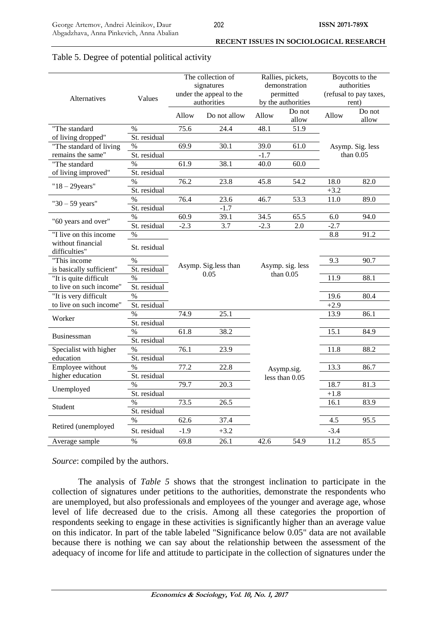| Alternatives                       | Values        |               | The collection of<br>signatures<br>under the appeal to the<br>authorities |        | Rallies, pickets,<br>demonstration<br>permitted<br>by the authorities | Boycotts to the<br>authorities<br>(refusal to pay taxes,<br>rent) |                  |  |  |
|------------------------------------|---------------|---------------|---------------------------------------------------------------------------|--------|-----------------------------------------------------------------------|-------------------------------------------------------------------|------------------|--|--|
|                                    |               | Allow         | Do not allow                                                              | Allow  | Do not<br>allow                                                       | Allow                                                             | Do not<br>allow  |  |  |
| "The standard                      | $\%$          | 75.6          | 24.4                                                                      | 48.1   | 51.9                                                                  |                                                                   |                  |  |  |
| of living dropped"                 | St. residual  |               |                                                                           |        |                                                                       |                                                                   |                  |  |  |
| "The standard of living            | $\%$          | 69.9          | 30.1                                                                      | 39.0   | 61.0                                                                  |                                                                   | Asymp. Sig. less |  |  |
| remains the same"                  | St. residual  |               |                                                                           | $-1.7$ |                                                                       |                                                                   | than $0.05$      |  |  |
| "The standard                      | $\%$          | 61.9          | 38.1                                                                      | 40.0   | 60.0                                                                  |                                                                   |                  |  |  |
| of living improved"                | St. residual  |               |                                                                           |        |                                                                       |                                                                   |                  |  |  |
|                                    | $\%$          | 76.2          | 23.8                                                                      | 45.8   | 54.2                                                                  | 18.0                                                              | 82.0             |  |  |
| $"18 - 29 years"$                  | St. residual  |               |                                                                           |        |                                                                       | $+3.2$                                                            |                  |  |  |
|                                    | $\%$          | 76.4          | 23.6                                                                      | 46.7   | 53.3                                                                  | 11.0                                                              | 89.0             |  |  |
| " $30 - 59$ years"                 | St. residual  |               | $-1.7$                                                                    |        |                                                                       |                                                                   |                  |  |  |
|                                    | $\%$          | 60.9          | 39.1                                                                      | 34.5   | 65.5                                                                  | 6.0                                                               | 94.0             |  |  |
| "60 years and over"                | St. residual  | $-2.3$<br>3.7 |                                                                           | $-2.3$ | 2.0                                                                   | $-2.7$                                                            |                  |  |  |
| "I live on this income             | $\%$          |               |                                                                           |        |                                                                       | 8.8                                                               | 91.2             |  |  |
| without financial<br>difficulties" | St. residual  |               |                                                                           |        |                                                                       |                                                                   |                  |  |  |
| "This income                       | $\%$          |               |                                                                           |        |                                                                       | 9.3                                                               | 90.7             |  |  |
| is basically sufficient"           | St. residual  |               | Asymp. Sig.less than                                                      |        | Asymp. sig. less<br>than $0.05$                                       |                                                                   |                  |  |  |
| "It is quite difficult             | $\%$          |               | 0.05                                                                      |        |                                                                       | 11.9                                                              | 88.1             |  |  |
| to live on such income"            | St. residual  |               |                                                                           |        |                                                                       |                                                                   |                  |  |  |
| "It is very difficult              | $\%$          |               |                                                                           |        |                                                                       | 19.6                                                              | 80.4             |  |  |
| to live on such income"            | St. residual  |               |                                                                           |        |                                                                       | $+2.9$                                                            |                  |  |  |
|                                    | $\%$          | 74.9          | 25.1                                                                      |        |                                                                       | 13.9                                                              | 86.1             |  |  |
| Worker                             | St. residual  |               |                                                                           |        |                                                                       |                                                                   |                  |  |  |
|                                    | $\%$          | 61.8          | 38.2                                                                      |        |                                                                       | 15.1                                                              | 84.9             |  |  |
| <b>Businessman</b>                 | St. residual  |               |                                                                           |        |                                                                       |                                                                   |                  |  |  |
| Specialist with higher             | $\%$          | 76.1          | 23.9                                                                      |        |                                                                       | 11.8                                                              | 88.2             |  |  |
| education                          | St. residual  |               |                                                                           |        |                                                                       |                                                                   |                  |  |  |
| Employee without                   | $\frac{0}{0}$ | 77.2          | 22.8                                                                      |        | Asymp.sig.                                                            | 13.3                                                              | 86.7             |  |  |
| higher education                   | St. residual  |               |                                                                           |        | less than $0.05$                                                      |                                                                   |                  |  |  |
|                                    | $\%$          | 79.7          | 20.3                                                                      |        |                                                                       | 18.7                                                              | 81.3             |  |  |
| Unemployed                         | St. residual  |               |                                                                           |        |                                                                       | $+1.8$                                                            |                  |  |  |
|                                    | $\%$          | 73.5          | 26.5                                                                      |        |                                                                       | 16.1                                                              | 83.9             |  |  |
| Student                            | St. residual  |               |                                                                           |        |                                                                       |                                                                   |                  |  |  |
|                                    | $\%$          | 62.6          | 37.4                                                                      |        |                                                                       | 4.5                                                               | 95.5             |  |  |
| Retired (unemployed                | St. residual  | $-1.9$        | $+3.2$                                                                    |        |                                                                       | $-3.4$                                                            |                  |  |  |
| Average sample                     | $\%$          | 69.8          | 26.1                                                                      | 42.6   | 54.9                                                                  | 11.2                                                              | 85.5             |  |  |

# Table 5. Degree of potential political activity

*Source*: compiled by the authors.

The analysis of *Table 5* shows that the strongest inclination to participate in the collection of signatures under petitions to the authorities, demonstrate the respondents who are unemployed, but also professionals and employees of the younger and average age, whose level of life decreased due to the crisis. Among all these categories the proportion of respondents seeking to engage in these activities is significantly higher than an average value on this indicator. In part of the table labeled "Significance below 0.05" data are not available because there is nothing we can say about the relationship between the assessment of the adequacy of income for life and attitude to participate in the collection of signatures under the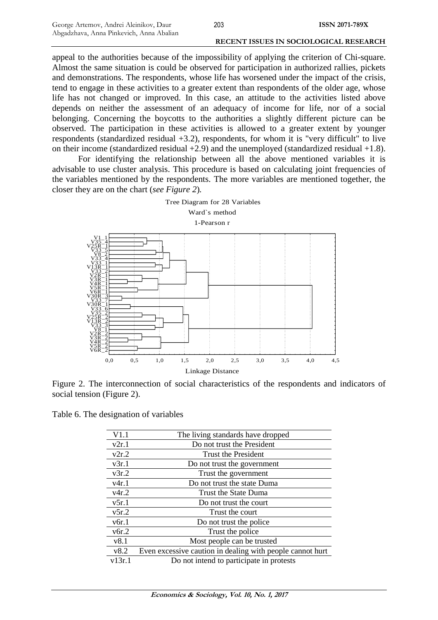appeal to the authorities because of the impossibility of applying the criterion of Chi-square. Almost the same situation is could be observed for participation in authorized rallies, pickets and demonstrations. The respondents, whose life has worsened under the impact of the crisis, tend to engage in these activities to a greater extent than respondents of the older age, whose life has not changed or improved. In this case, an attitude to the activities listed above depends on neither the assessment of an adequacy of income for life, nor of a social belonging. Concerning the boycotts to the authorities a slightly different picture can be observed. The participation in these activities is allowed to a greater extent by younger respondents (standardized residual +3.2), respondents, for whom it is "very difficult" to live on their income (standardized residual +2.9) and the unemployed (standardized residual +1.8).

For identifying the relationship between all the above mentioned variables it is advisable to use cluster analysis. This procedure is based on calculating joint frequencies of the variables mentioned by the respondents. The more variables are mentioned together, the closer they are on the chart (*see Figure 2*)*.*



Figure 2. The interconnection of social characteristics of the respondents and indicators of social tension (Figure 2).

Table 6. The designation of variables

| V1.1   | The living standards have dropped                         |
|--------|-----------------------------------------------------------|
| v2r.1  | Do not trust the President                                |
| v2r.2  | Trust the President                                       |
| v3r.1  | Do not trust the government                               |
| v3r.2  | Trust the government                                      |
| v4r.1  | Do not trust the state Duma                               |
| v4r.2  | Trust the State Duma                                      |
| v5r.1  | Do not trust the court                                    |
| v5r.2  | Trust the court                                           |
| v6r.1  | Do not trust the police                                   |
| v6r.2  | Trust the police                                          |
| v8.1   | Most people can be trusted                                |
| v8.2   | Even excessive caution in dealing with people cannot hurt |
| v13r.1 | Do not intend to participate in protests                  |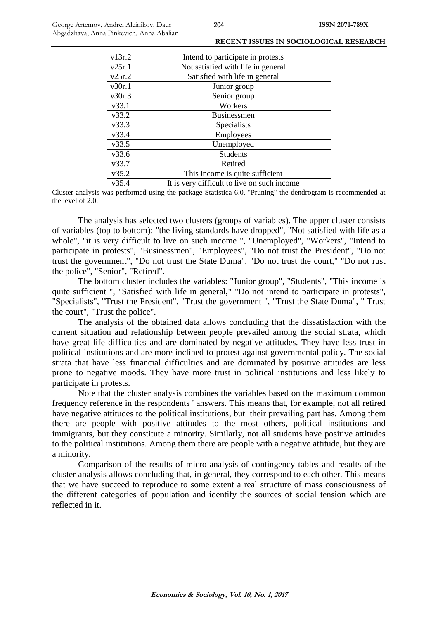| v13r.2 | Intend to participate in protests           |
|--------|---------------------------------------------|
| v25r.1 | Not satisfied with life in general          |
| v25r.2 | Satisfied with life in general              |
| v30r.1 | Junior group                                |
| v30r.3 | Senior group                                |
| v33.1  | Workers                                     |
| v33.2  | <b>Businessmen</b>                          |
| v33.3  | Specialists                                 |
| v33.4  | Employees                                   |
| v33.5  | Unemployed                                  |
| v33.6  | <b>Students</b>                             |
| v33.7  | Retired                                     |
| v35.2  | This income is quite sufficient             |
| v35.4  | It is very difficult to live on such income |
|        |                                             |

Cluster analysis was performed using the package Statistica 6.0. "Pruning" the dendrogram is recommended at the level of 2.0.

The analysis has selected two clusters (groups of variables). The upper cluster consists of variables (top to bottom): "the living standards have dropped", "Not satisfied with life as a whole", "it is very difficult to live on such income ", "Unemployed", "Workers", "Intend to participate in protests", "Businessmen", "Employees", "Do not trust the President", "Do not trust the government", "Do not trust the State Duma", "Do not trust the court," "Do not rust the police", "Senior", "Retired".

The bottom cluster includes the variables: "Junior group", "Students", "This income is quite sufficient ", "Satisfied with life in general," "Do not intend to participate in protests", "Specialists", "Trust the President", "Trust the government ", "Trust the State Duma", " Trust the court", "Trust the police".

The analysis of the obtained data allows concluding that the dissatisfaction with the current situation and relationship between people prevailed among the social strata, which have great life difficulties and are dominated by negative attitudes. They have less trust in political institutions and are more inclined to protest against governmental policy. The social strata that have less financial difficulties and are dominated by positive attitudes are less prone to negative moods. They have more trust in political institutions and less likely to participate in protests.

Note that the cluster analysis combines the variables based on the maximum common frequency reference in the respondents ' answers. This means that, for example, not all retired have negative attitudes to the political institutions, but their prevailing part has. Among them there are people with positive attitudes to the most others, political institutions and immigrants, but they constitute a minority. Similarly, not all students have positive attitudes to the political institutions. Among them there are people with a negative attitude, but they are a minority.

Comparison of the results of micro-analysis of contingency tables and results of the cluster analysis allows concluding that, in general, they correspond to each other. This means that we have succeed to reproduce to some extent a real structure of mass consciousness of the different categories of population and identify the sources of social tension which are reflected in it.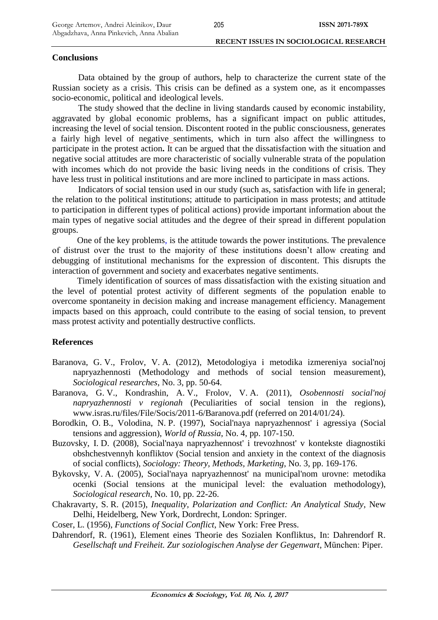### **Conclusions**

Data obtained by the group of authors, help to characterize the current state of the Russian society as a crisis. This crisis can be defined as a system one, as it encompasses socio-economic, political and ideological levels.

The study showed that the decline in living standards caused by economic instability, aggravated by global economic problems, has a significant impact on public attitudes, increasing the level of social tension. Discontent rooted in the public consciousness, generates a fairly high level of negative sentiments, which in turn also affect the willingness to participate in the protest action**.** It can be argued that the dissatisfaction with the situation and negative social attitudes are more characteristic of socially vulnerable strata of the population with incomes which do not provide the basic living needs in the conditions of crisis. They have less trust in political institutions and are more inclined to participate in mass actions.

Indicators of social tension used in our study (such as, satisfaction with life in general; the relation to the political institutions; attitude to participation in mass protests; and attitude to participation in different types of political actions) provide important information about the main types of negative social attitudes and the degree of their spread in different population groups.

One of the key problems, is the attitude towards the power institutions. The prevalence of distrust over the trust to the majority of these institutions doesn't allow creating and debugging of institutional mechanisms for the expression of discontent. This disrupts the interaction of government and society and exacerbates negative sentiments.

Timely identification of sources of mass dissatisfaction with the existing situation and the level of potential protest activity of different segments of the population enable to overcome spontaneity in decision making and increase management efficiency. Management impacts based on this approach, could contribute to the easing of social tension, to prevent mass protest activity and potentially destructive conflicts.

# **References**

- Baranova, G. V., Frolov, V. A. (2012), Metodologiya i metodika izmereniya social'noj napryazhennosti (Methodology and methods of social tension measurement), *Sociological researches*, No. 3, pp. 50-64.
- Baranova, G. V., Kondrashin, A. V., Frolov, V. A. (2011), *Osobennosti social'noj napryazhennosti v regionah* (Peculiarities of social tension in the regions), www.isras.ru/files/File/Socis/2011-6/Baranova.pdf (referred on 2014/01/24).
- Borodkin, O. B., Volodina, N. P. (1997), Social'naya napryazhennost' i agressiya (Social tensions and aggression), *World of Russia*, No. 4, pp. 107-150.
- Buzovsky, I. D. (2008), Social'naya napryazhennost' i trevozhnost' v kontekste diagnostiki obshchestvennyh konfliktov (Social tension and anxiety in the context of the diagnosis of social conflicts), *Sociology: Theory, Methods, Marketing*, No. 3, pp. 169-176.
- Bykovsky, V. A. (2005), Social'naya napryazhennost' na municipal'nom urovne: metodika ocenki (Social tensions at the municipal level: the evaluation methodology), *Sociological research*, No. 10, pp. 22-26.
- Chakravarty, S. R. (2015), *Inequality, Polarization and Conflict: An Analytical Study*, New Delhi, Heidelberg, New York, Dordrecht, London: Springer.
- Coser, L. (1956), *Functions of Social Conflict*, New York: Free Press.
- Dahrendorf, R. (1961), Element eines Theorie des Sozialen Konfliktus, In: Dahrendorf R. *Gesellschaft und Freiheit. Zur soziologischen Analyse der Gegenwart*, München: Piper.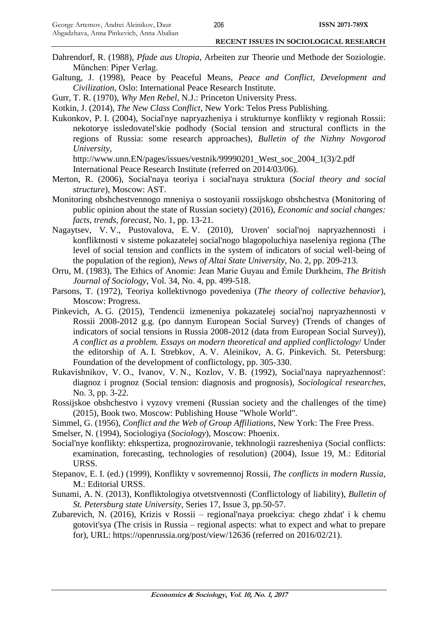- Dahrendorf, R. (1988), *Pfade aus Utopia*, Arbeiten zur Theorie und Methode der Soziologie. München: Piper Verlag.
- Galtung, J. (1998), Peace by Peaceful Means, *Peace and Conflict, Development and Civilization*, Oslo: International Peace Research Institute.

Gurr, T. R. (1970), *Why Men Rebel*, N.J.: Princeton University Press.

Kotkin, J. (2014), *The New Class Conflict*, New York: Telos Press Publishing.

Kukonkov, P. I. (2004), Social'nye napryazheniya i strukturnye konflikty v regionah Rossii: nekotorye issledovatel'skie podhody (Social tension and structural conflicts in the regions of Russia: some research approaches), *Bulletin of the Nizhny Novgorod University,* 

http://www.unn.EN/pages/issues/vestnik/99990201\_West\_soc\_2004\_1(3)/2.pdf

International Peace Research Institute (referred on 2014/03/06).

- Merton, R. (2006), Social'naya teoriya i social'naya struktura (*Social theory and social structure*), Moscow: AST.
- Monitoring obshchestvennogo mneniya o sostoyanii rossijskogo obshchestva (Monitoring of public opinion about the state of Russian society) (2016), *Economic and social changes: facts, trends, forecast*, No. 1, pp. 13-21.
- Nagaytsev, V. V., Pustovalova, E. V. (2010), Uroven' social'noj napryazhennosti i konfliktnosti v sisteme pokazatelej social'nogo blagopoluchiya naseleniya regiona (The level of social tension and conflicts in the system of indicators of social well-being of the population of the region), *News of Altai State University*, No. 2, pp. 209-213.
- Orru, M. (1983), The Ethics of Anomie: Jean Marie Guyau and Émile Durkheim, *The British Journal of Sociology*, Vol. 34, No. 4, pp. 499-518.
- Parsons, T. (1972), Teoriya kollektivnogo povedeniya (*The theory of collective behavior*), Moscow: Progress.
- Pinkevich, A. G. (2015), Tendencii izmeneniya pokazatelej social'noj napryazhennosti v Rossii 2008-2012 g.g. (po dannym European Social Survey) (Trends of changes of indicators of social tensions in Russia 2008-2012 (data from European Social Survey)), *A conflict as a problem. Essays on modern theoretical and applied conflictology*/ Under the editorship of A. I. Strebkov, A. V. Aleinikov, A. G. Pinkevich. St. Petersburg: Foundation of the development of conflictology, pp. 305-330.
- Rukavishnikov, V. O., Ivanov, V. N., Kozlov, V. B. (1992), Social'naya napryazhennost': diagnoz i prognoz (Social tension: diagnosis and prognosis), *Sociological researches,* No. 3, pp. 3-22.
- Rossijskoe obshchestvo i vyzovy vremeni (Russian society and the challenges of the time) (2015), Book two. Moscow: Publishing House "Whole World".
- Simmel, G. (1956), *Conflict and the Web of Group Affiliations*, New York: The Free Press.
- Smelser, N. (1994), Sociologiya (*Sociology*), Moscow: Phoenix.
- Social'nye konflikty: ehkspertiza, prognozirovanie, tekhnologii razresheniya (Social conflicts: examination, forecasting, technologies of resolution) (2004), Issue 19, M.: Editorial URSS.
- Stepanov, E. I. (ed.) (1999), Konflikty v sovremennoj Rossii, *The conflicts in modern Russia*, M.: Editorial URSS.
- Sunami, A. N. (2013), Konfliktologiya otvetstvennosti (Conflictology of liability), *Bulletin of St. Petersburg state University*, Series 17, Issue 3, pp.50-57.
- Zubarevich, N. (2016), Krizis v Rossii regional'naya proekciya: chego zhdat' i k chemu gotovit'sya (The crisis in Russia – regional aspects: what to expect and what to prepare for), URL: https://openrussia.org/post/view/12636 (referred on 2016/02/21).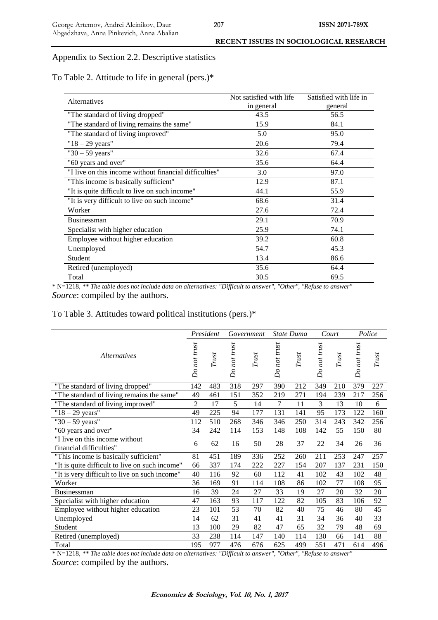### Appendix to Section 2.2. Descriptive statistics

To Table 2. Attitude to life in general (pers.)\*

| Alternatives                                           | Not satisfied with life. | Satisfied with life in |
|--------------------------------------------------------|--------------------------|------------------------|
|                                                        | in general               | general                |
| "The standard of living dropped"                       | 43.5                     | 56.5                   |
| "The standard of living remains the same"              | 15.9                     | 84.1                   |
| "The standard of living improved"                      | 5.0                      | 95.0                   |
| $"18 - 29 \text{ years}"$                              | 20.6                     | 79.4                   |
| " $30 - 59$ years"                                     | 32.6                     | 67.4                   |
| "60 years and over"                                    | 35.6                     | 64.4                   |
| "I live on this income without financial difficulties" | 3.0                      | 97.0                   |
| "This income is basically sufficient"                  | 12.9                     | 87.1                   |
| "It is quite difficult to live on such income"         | 44.1                     | 55.9                   |
| "It is very difficult to live on such income"          | 68.6                     | 31.4                   |
| Worker                                                 | 27.6                     | 72.4                   |
| Businessman                                            | 29.1                     | 70.9                   |
| Specialist with higher education                       | 25.9                     | 74.1                   |
| Employee without higher education                      | 39.2                     | 60.8                   |
| Unemployed                                             | 54.7                     | 45.3                   |
| Student                                                | 13.4                     | 86.6                   |
| Retired (unemployed)                                   | 35.6                     | 64.4                   |
| Total                                                  | 30.5                     | 69.5                   |

\* N=1218, *\*\* The table does not include data on alternatives: "Difficult to answer", "Other", "Refuse to answer" Source*: compiled by the authors.

# To Table 3. Attitudes toward political institutions (pers.)\*

|                                                           |                | President |              | Government | State Duma   |       | Court        |       | Police       |       |
|-----------------------------------------------------------|----------------|-----------|--------------|------------|--------------|-------|--------------|-------|--------------|-------|
| <i>Alternatives</i>                                       |                | Trust     | Do not trust | Trust      | Do not trust | Trust | Do not trust | Trust | Do not trust | Trust |
| "The standard of living dropped"                          | 142            | 483       | 318          | 297        | 390          | 212   | 349          | 210   | 379          | 227   |
| "The standard of living remains the same"                 | 49             | 461       | 151          | 352        | 219          | 271   | 194          | 239   | 217          | 256   |
| "The standard of living improved"                         | $\overline{c}$ | 17        | 5            | 14         | 7            | 11    | 3            | 13    | 10           | 6     |
| $"18 - 29 \text{ years}"$                                 | 49             | 225       | 94           | 177        | 131          | 141   | 95           | 173   | 122          | 160   |
| " $30 - 59$ years"                                        | 112            | 510       | 268          | 346        | 346          | 250   | 314          | 243   | 342          | 256   |
| "60 years and over"                                       | 34             | 242       | 114          | 153        | 148          | 108   | 142          | 55    | 150          | 80    |
| "I live on this income without<br>financial difficulties" | 6              | 62        | 16           | 50         | 28           | 37    | 22           | 34    | 26           | 36    |
| "This income is basically sufficient"                     | 81             | 451       | 189          | 336        | 252          | 260   | 211          | 253   | 247          | 257   |
| "It is quite difficult to live on such income"            | 66             | 337       | 174          | 222        | 227          | 154   | 207          | 137   | 231          | 150   |
| "It is very difficult to live on such income"             | 40             | 116       | 92           | 60         | 112          | 41    | 102          | 43    | 102          | 48    |
| Worker                                                    | 36             | 169       | 91           | 114        | 108          | 86    | 102          | 77    | 108          | 95    |
| <b>Businessman</b>                                        | 16             | 39        | 24           | 27         | 33           | 19    | 27           | 20    | 32           | 20    |
| Specialist with higher education                          | 47             | 163       | 93           | 117        | 122          | 82    | 105          | 83    | 106          | 92    |
| Employee without higher education                         | 23             | 101       | 53           | 70         | 82           | 40    | 75           | 46    | 80           | 45    |
| Unemployed                                                | 14             | 62        | 31           | 41         | 41           | 31    | 34           | 36    | 40           | 33    |
| Student                                                   | 13             | 100       | 29           | 82         | 47           | 65    | 32           | 79    | 48           | 69    |
| Retired (unemployed)                                      | 33             | 238       | 114          | 147        | 140          | 114   | 130          | 66    | 141          | 88    |
| Total                                                     | 195            | 977       | 476          | 676        | 625          | 499   | 551          | 471   | 614          | 496   |

\* N=1218, *\*\* The table does not include data on alternatives: "Difficult to answer", "Other", "Refuse to answer" Source*: compiled by the authors.